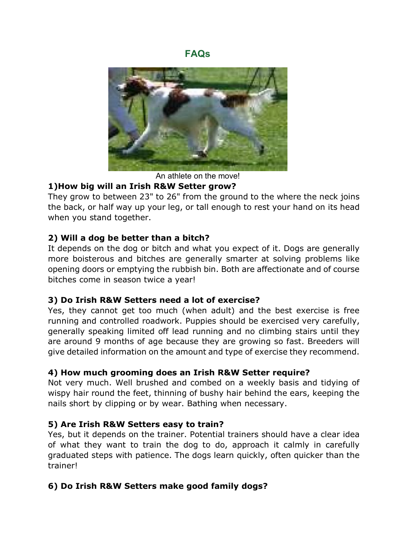**FAQs**



An athlete on the move!

# **1)How big will an Irish R&W Setter grow?**

They grow to between 23" to 26" from the ground to the where the neck joins the back, or half way up your leg, or tall enough to rest your hand on its head when you stand together.

# **2) Will a dog be better than a bitch?**

It depends on the dog or bitch and what you expect of it. Dogs are generally more boisterous and bitches are generally smarter at solving problems like opening doors or emptying the rubbish bin. Both are affectionate and of course bitches come in season twice a year!

# **3) Do Irish R&W Setters need a lot of exercise?**

Yes, they cannot get too much (when adult) and the best exercise is free running and controlled roadwork. Puppies should be exercised very carefully, generally speaking limited off lead running and no climbing stairs until they are around 9 months of age because they are growing so fast. Breeders will give detailed information on the amount and type of exercise they recommend.

#### **4) How much grooming does an Irish R&W Setter require?**

Not very much. Well brushed and combed on a weekly basis and tidying of wispy hair round the feet, thinning of bushy hair behind the ears, keeping the nails short by clipping or by wear. Bathing when necessary.

# **5) Are Irish R&W Setters easy to train?**

Yes, but it depends on the trainer. Potential trainers should have a clear idea of what they want to train the dog to do, approach it calmly in carefully graduated steps with patience. The dogs learn quickly, often quicker than the trainer!

# **6) Do Irish R&W Setters make good family dogs?**